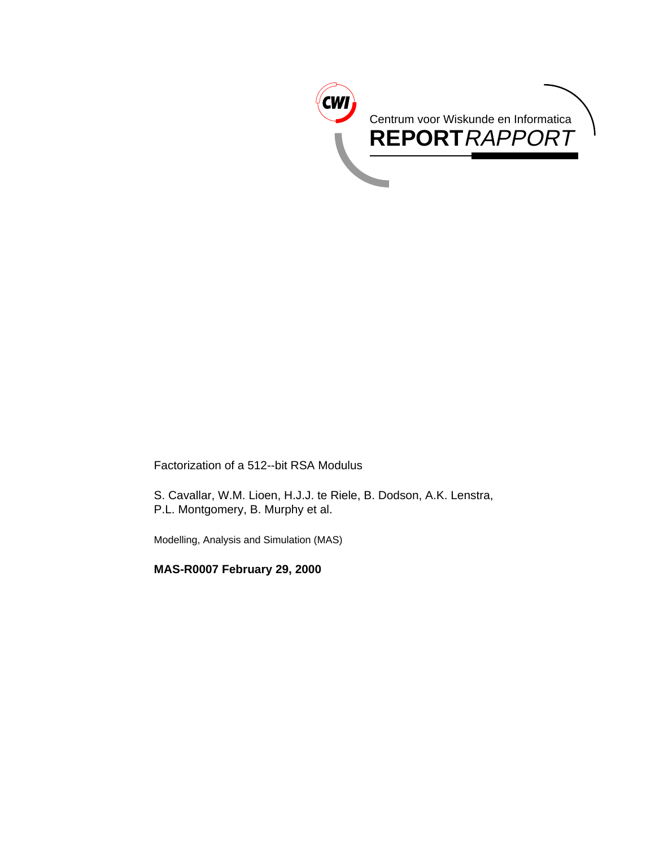

Factorization of a 512--bit RSA Modulus

S. Cavallar, W.M. Lioen, H.J.J. te Riele, B. Dodson, A.K. Lenstra, P.L. Montgomery, B. Murphy et al.

Modelling, Analysis and Simulation (MAS)

**MAS-R0007 February 29, 2000**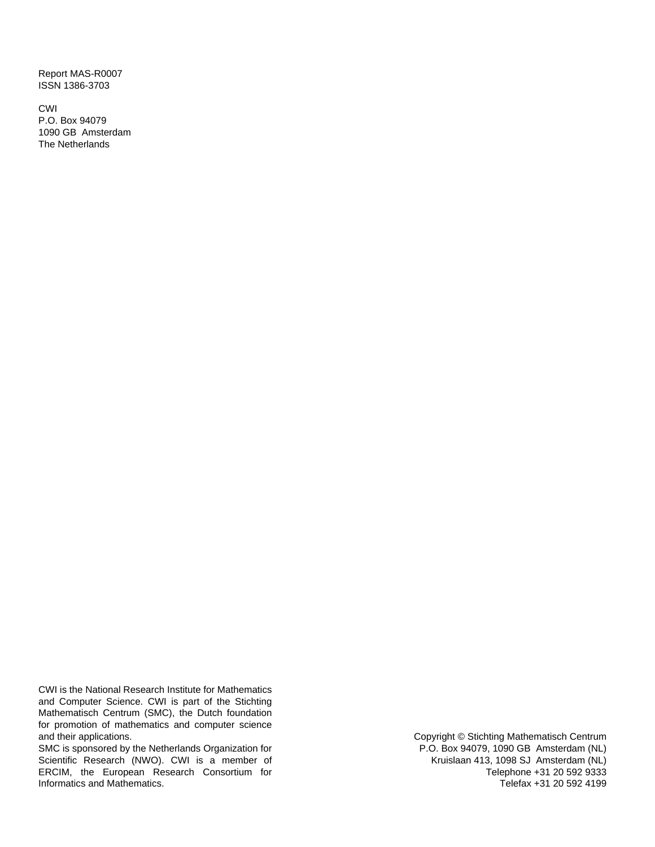Report MAS-R0007 ISSN 1386-3703

CWI P.O. Box 94079 1090 GB Amsterdam The Netherlands

CWI is the National Research Institute for Mathematics and Computer Science. CWI is part of the Stichting Mathematisch Centrum (SMC), the Dutch foundation for promotion of mathematics and computer science and their applications.

SMC is sponsored by the Netherlands Organization for Scientific Research (NWO). CWI is a member of ERCIM, the European Research Consortium for Informatics and Mathematics.

Copyright © Stichting Mathematisch Centrum P.O. Box 94079, 1090 GB Amsterdam (NL) Kruislaan 413, 1098 SJ Amsterdam (NL) Telephone +31 20 592 9333 Telefax +31 20 592 4199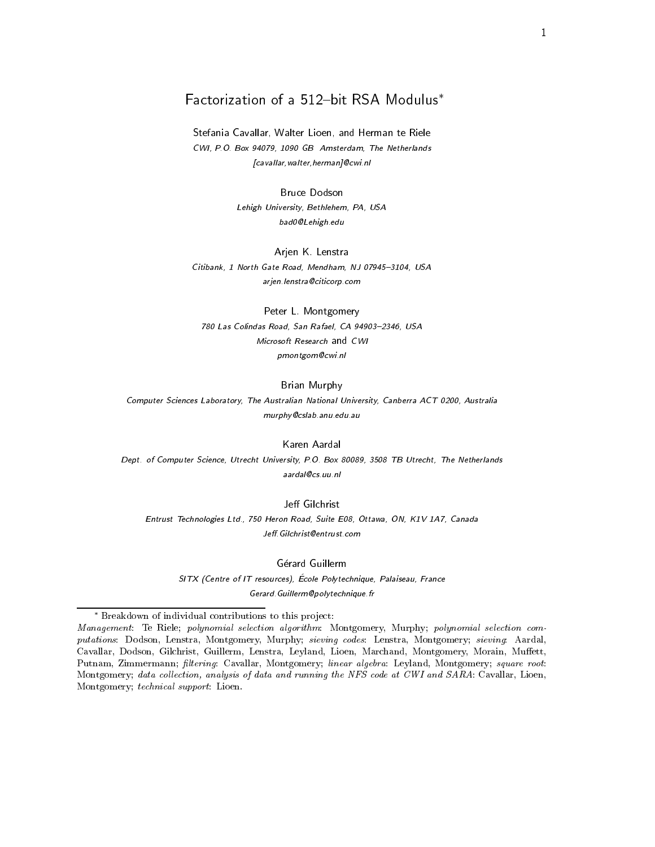# Factorization of a 512-bit RSA Modulus\*

Stefania Cavallar, Walter Lioen, and Herman te Riele CWI, P.O. Box 94079, 1090 GB Amsterdam, The Netherlands [cavallar,walter,herman]@cwi.nl

> **Bruce Dodson** Lehigh University, Bethlehem, PA, USA bad0@Lehigh.edu

# Arjen K. Lenstra Citibank, 1 North Gate Road, Mendham, NJ 07945-3104, USA

arjen.lenstra@citicorp.com

Peter L. Montgomery 780 Las Colindas Road, San Rafael, CA 94903-2346, USA Microsoft Research and CWI pmontgom@cwi.nl

#### Brian Murphy

Computer Sciences Laboratory, The Australian National University, Canberra ACT 0200, Australia murphy@cslab.anu.edu.au

Karen Aardal

Dept. of Computer Science, Utrecht University, P.O. Box 80089, 3508 TB Utrecht, The Netherlands aardal@cs.uu.nl

#### Jeff Gilchrist

Entrust Technologies Ltd., 750 Heron Road, Suite E08, Ottawa, ON, K1V 1A7, Canada Jeff. Gilchrist@entrust.com

> Gérard Guillerm SITX (Centre of IT resources), École Polytechnique, Palaiseau, France Gerard.Guillerm@polytechnique.fr

Breakdown of individual contributions to this pro ject:

Management: Te Riele; polynomial selection algorithm: Montgomery, Murphy; polynomial selection com putations: Dodson, Lenstra, Montgomery, Murphy; sieving codes: Lenstra, Montgomery; sieving: Aardal, Cavallar, Dodson, Gilchrist, Guillerm, Lenstra, Leyland, Lioen, Marchand, Montgomery, Morain, Muffett, Putnam, Zimmermann; filtering: Cavallar, Montgomery; linear algebra: Leyland, Montgomery; square root: Montgomery; data collection, analysis of data and running the NFS code at CWI and SARA: Cavallar, Lioen, Montgomery; technical support: Lioen.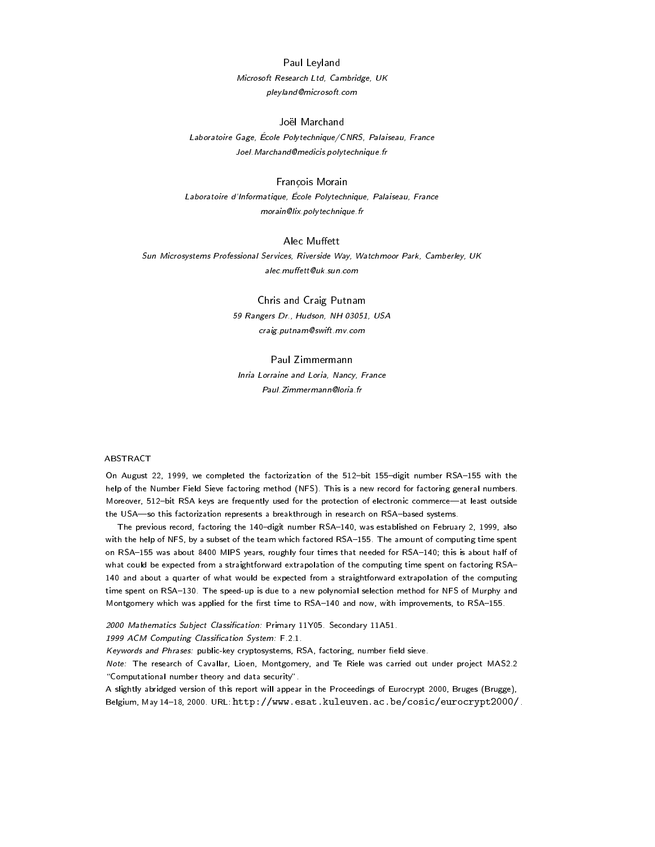Paul Leyland Microsoft Research Ltd, Cambridge, UK pleyland@microsoft.com

Laboratoire Gage, École Polytechnique/CNRS, Palaiseau, France Joel.Marchand@medicis.polytechnique.fr

#### Francois Morain

Laboratoire d'Informatique, École Polytechnique, Palaiseau, France morain@lix.polytechnique.fr

### Alec Muffett

Sun Microsystems Professional Services, Riverside Way, Watchmoor Park, Camberley, UK alec.muffett@uk.sun.com

# Chris and Craig Putnam 59 Rangers Dr., Hudson, NH 03051, USA craig.putnam@swift.mv.com

#### Paul Zimmermann

Inria Lorraine and Loria, Nancy, France Paul.Zimmermann@loria.fr

#### ABSTRACT

On August 22, 1999, we completed the factorization of the 512-bit 155-digit number RSA-155 with the help of the Number Field Sieve factoring method (NFS). This is a new record for factoring general numbers. Moreover, 512-bit RSA keys are frequently used for the protection of electronic commerce-at least outside the USA-so this factorization represents a breakthrough in research on RSA-based systems.

The previous record, factoring the 140-digit number RSA-140, was established on February 2, 1999, also with the help of NFS, by a subset of the team which factored RSA-155. The amount of computing time spent on RSA-155 was about 8400 MIPS years, roughly four times that needed for RSA-140; this is about half of what could be expected from a straightforward extrapolation of the computing time spent on factoring RSA-140 and about a quarter of what would be expected from a straightforward extrapolation of the computing time spent on RSA-130. The speed-up is due to a new polynomial selection method for NFS of Murphy and Montgomery which was applied for the first time to RSA-140 and now, with improvements, to RSA-155.

2000 Mathematics Subject Classification: Primary 11Y05. Secondary 11A51.

1999 ACM Computing Classication System: F.2.1.

Keywords and Phrases: public-key cryptosystems, RSA, factoring, number field sieve.

Note: The research of Cavallar, Lioen, Montgomery, and Te Riele was carried out under project MAS2.2 "Computational number theory and data security".

A slightly abridged version of this report will appear in the Proceedings of Eurocrypt 2000, Bruges (Brugge), Belgium, May 14-18, 2000. URL: http://www.esat.kuleuven.ac.be/cosic/eurocrypt2000/.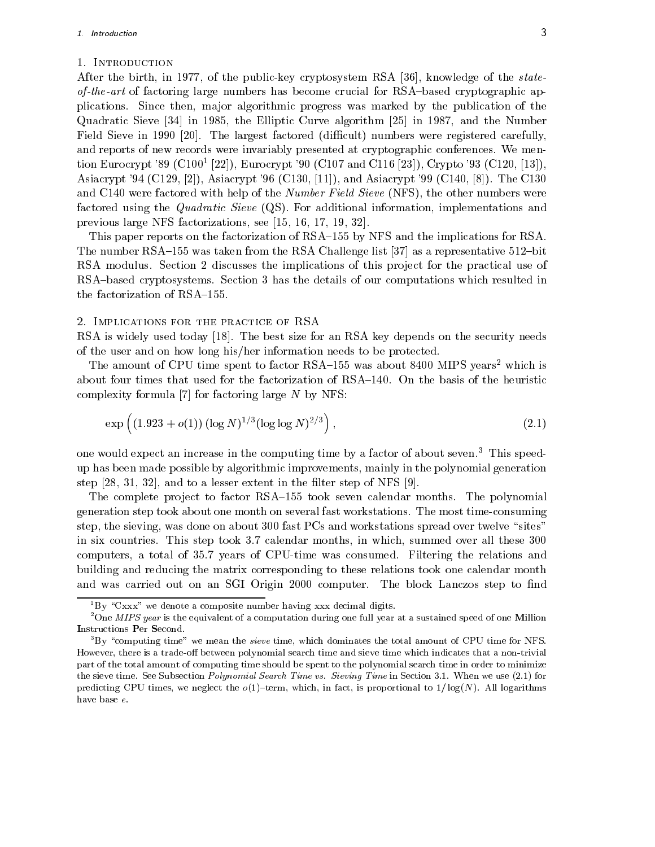#### 1. Introduction

After the birth, in 1977, of the public-key cryptosystem RSA [36], knowledge of the state $of-the-art$  of factoring large numbers has become crucial for RSA-based cryptographic applications. Since then, major algorithmic progress was marked by the publication of the Quadratic Sieve [34] in 1985, the Elliptic Curve algorithm [25] in 1987, and the Number Field Sieve in 1990 [20]. The largest factored (difficult) numbers were registered carefully, and reports of new records were invariably presented at cryptographic conferences. We mention Eurocrypt '89 (C100<sup>1</sup> [22]), Eurocrypt '90 (C107 and C116 [23]), Crypto '93 (C120, [13]), Asiacrypt '94 (C129, [2]), Asiacrypt '96 (C130, [11]), and Asiacrypt '99 (C140, [8]). The C130 and C140 were factored with help of the Number Field Sieve (NFS), the other numbers were factored using the Quadratic Sieve (QS). For additional information, implementations and previous large NFS factorizations, see [15, 16, 17, 19, 32].

This paper reports on the factorization of RSA-155 by NFS and the implications for RSA. The number RSA $-155$  was taken from the RSA Challenge list [37] as a representative 512-bit RSA modulus. Section 2 discusses the implications of this project for the practical use of RSA-based cryptosystems. Section 3 has the details of our computations which resulted in the factorization of RSA $-155$ .

#### 2. Implications for the practice of RSA

RSA is widely used today [18]. The best size for an RSA key depends on the security needs of the user and on how long his/her information needs to be protected.

The amount of CPU time spent to factor RSA-155 was about 8400 MIPS years<sup>2</sup> which is about four times that used for the factorization of  $\text{RSA}-140$ . On the basis of the heuristic complexity formula  $[7]$  for factoring large N by NFS:

$$
\exp\left((1.923 + o(1)) (\log N)^{1/3} (\log \log N)^{2/3}\right),\tag{2.1}
$$

one would expect an increase in the computing time by a factor of about seven.<sup>3</sup> This speedup has been made possible by algorithmic improvements, mainly in the polynomial generation step  $[28, 31, 32]$ , and to a lesser extent in the filter step of NFS  $[9]$ .

The complete project to factor RSA-155 took seven calendar months. The polynomial generation step took about one month on several fast workstations. The most time-consuming step, the sieving, was done on about 300 fast PCs and workstations spread over twelve "sites" in six countries. This step took 3.7 calendar months, in which, summed over all these 300 computers, a total of 35.7 years of CPU-time was consumed. Filtering the relations and building and reducing the matrix corresponding to these relations took one calendar month and was carried out on an SGI Origin 2000 computer. The block Lanczos step to find

 ${}^{1}_{1}$ By "Cxxx" we denote a composite number having xxx decimal digits.

 $2^2$ One *MIPS year* is the equivalent of a computation during one full year at a sustained speed of one Million Instructions Per Second.

 ${}^{3}$ By "computing time" we mean the sieve time, which dominates the total amount of CPU time for NFS. However, there is a trade-off between polynomial search time and sieve time which indicates that a non-trivial part of the total amount of computing time should be spent to the polynomial search time in order to minimize the sieve time. See Subsection Polynomial Search Time vs. Sieving Time in Section 3.1. When we use (2.1) for predicting CPU times, we neglect the  $o(1)$ -term, which, in fact, is proportional to  $1/\log(N)$ . All logarithms have base e.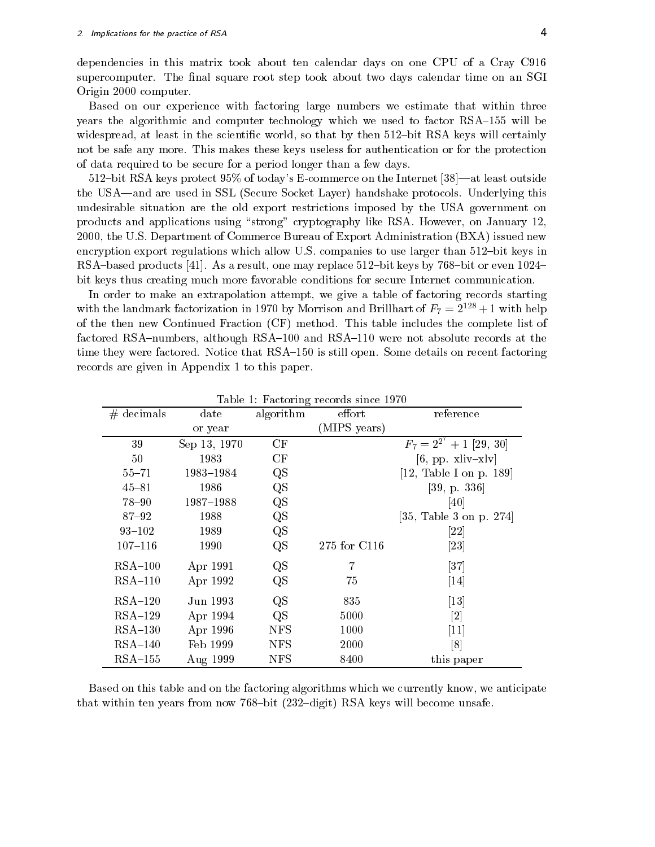dependencies in this matrix took about ten calendar days on one CPU of a Cray C916 supercomputer. The final square root step took about two days calendar time on an SGI Origin 2000 computer.

Based on our experience with factoring large numbers we estimate that within three years the algorithmic and computer technology which we used to factor  $RSA-155$  will be widespread, at least in the scientific world, so that by then  $512$ -bit RSA keys will certainly not be safe any more. This makes these keys useless for authentication or for the protection of data required to be secure for a period longer than a few days.

 $512$ -bit RSA keys protect  $95\%$  of today's E-commerce on the Internet [38]—at least outside the USA—and are used in SSL (Secure Socket Layer) handshake protocols. Underlying this undesirable situation are the old export restrictions imposed by the USA government on products and applications using "strong" cryptography like RSA. However, on January 12, 2000, the U.S. Department of Commerce Bureau of Export Administration (BXA) issued new encryption export regulations which allow U.S. companies to use larger than  $512$ -bit keys in RSA-based products [41]. As a result, one may replace  $512$ -bit keys by 768-bit or even  $1024$ bit keys thus creating much more favorable conditions for secure Internet communication.

In order to make an extrapolation attempt, we give a table of factoring records starting with the landmark factorization in 1970 by Morrison and Brillhart of  $F_7 = 2^{++} + 1$  with help of the then new Continued Fraction (CF) method. This table includes the complete list of factored RSA-numbers, although RSA-100 and RSA-110 were not absolute records at the time they were factored. Notice that RSA-150 is still open. Some details on recent factoring records are given in Appendix 1 to this paper.

|              |               | ີ           |              |                                           |
|--------------|---------------|-------------|--------------|-------------------------------------------|
| $#$ decimals | $_{\rm date}$ | algorithm   | effort       | reference                                 |
|              | or year       |             | (MIPS years) |                                           |
| 39           | Sep 13, 1970  | CF          |              | $\overline{F_7}$ = $2^{2^7}$ + 1 [29, 30] |
| 50           | 1983          | CF          |              | $[6, pp. xliv-xlv]$                       |
| $55 - 71$    | 1983-1984     | $_{\rm QS}$ |              | [12, Table I on p. 189]                   |
| $45 - 81$    | 1986          | QS          |              | [39, p. 336]                              |
| $78 - 90$    | 1987-1988     | QS          |              | [40]                                      |
| $87 - 92$    | 1988          | QS          |              | [35, Table 3 on p. 274]                   |
| $93 - 102$   | 1989          | QS          |              | $\left[ 22\right]$                        |
| $107 - 116$  | 1990          | QS          | 275 for C116 | $\left[ 23\right]$                        |
| $RSA-100$    | Apr 1991      | QS          | 7            | $\left\lceil 37\right\rceil$              |
| $RSA-110$    | Apr 1992      | QS          | 75           | $[14]$                                    |
| $RSA-120$    | Jun 1993      | QS          | 835          | $\left\lceil 13 \right\rceil$             |
| $RSA-129$    | Apr 1994      | QS          | 5000         | [2]                                       |
| $RSA-130$    | Apr 1996      | <b>NFS</b>  | 1000         | $\left\lceil 11 \right\rceil$             |
| $RSA-140$    | Feb 1999      | <b>NFS</b>  | 2000         | $\lceil 8 \rceil$                         |
| $RSA-155$    | Aug 1999      | <b>NFS</b>  | 8400         | this paper                                |

Table 1: Factoring records since 1970

Based on this table and on the factoring algorithms which we currently know, we anticipate that within ten years from now 768-bit  $(232-\text{digit})$  RSA keys will become unsafe.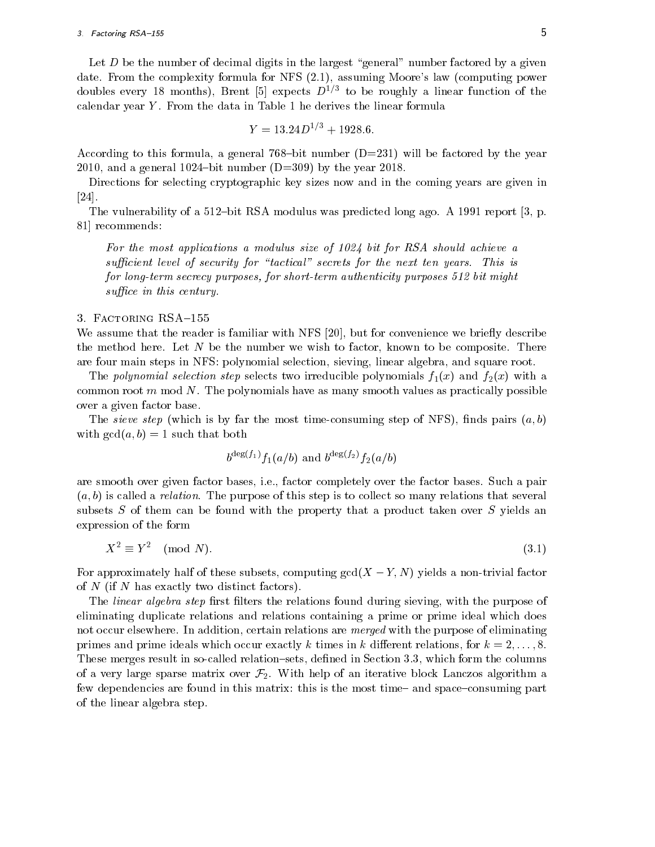### 3. Factoring RSA-155  $\overline{5}$

Let  $D$  be the number of decimal digits in the largest "general" number factored by a given date. From the complexity formula for NFS (2.1), assuming Moore's law (computing power doubles every 18 months), Brent [5] expects  $D^{*,+}$  to be roughly a linear function of the calendar year  $Y$ . From the data in Table 1 he derives the linear formula

$$
Y = 13.24D^{1/3} + 1928.6.
$$

According to this formula, a general 768-bit number  $(D=231)$  will be factored by the year 2010, and a general 1024-bit number  $(D=309)$  by the year 2018.

Directions for selecting cryptographic key sizes now and in the coming years are given in  $|24|$ .

The vulnerability of a 512-bit RSA modulus was predicted long ago. A 1991 report  $[3, p$ . 81] recommends:

For the most applications a modulus size of 1024 bit for RSA should achieve a sufficient level of security for "tactical" secrets for the next ten years. This is for long-term secrecy purposes, for short-term authenticity purposes 512 bit might suffice in this century.

#### 3. FACTORING RSA-155

We assume that the reader is familiar with  $NFS$  [20], but for convenience we briefly describe the method here. Let  $N$  be the number we wish to factor, known to be composite. There are four main steps in NFS: polynomial selection, sieving, linear algebra, and square root.

The polynomial selection step selects two irreducible polynomials  $f_1(x)$  and  $f_2(x)$  with a common root  $m \mod N$ . The polynomials have as many smooth values as practically possible over a given factor base.

The sieve step (which is by far the most time-consuming step of NFS), finds pairs  $(a, b)$ with  $gcd(a, b) = 1$  such that both

$$
b^{\deg(f_1)}f_1(a/b) \text{ and } b^{\deg(f_2)}f_2(a/b)
$$

are smooth over given factor bases, i.e., factor completely over the factor bases. Such a pair  $(a, b)$  is called a *relation*. The purpose of this step is to collect so many relations that several subsets  $S$  of them can be found with the property that a product taken over  $S$  yields an expression of the form

$$
X^2 \equiv Y^2 \pmod{N}.\tag{3.1}
$$

For approximately half of these subsets, computing  $gcd(X - Y, N)$  yields a non-trivial factor of N (if N has exactly two distinct factors).

The *linear algebra step* first filters the relations found during sieving, with the purpose of eliminating duplicate relations and relations containing a prime or prime ideal which does not occur elsewhere. In addition, certain relations are *merged* with the purpose of eliminating primes and prime ideals which occur exactly k times in k different relations, for  $k = 2, \ldots, 8$ . These merges result in so-called relation-sets, defined in Section 3.3, which form the columns of a very large sparse matrix over  $\mathcal{F}_2$ . With help of an iterative block Lanczos algorithm a few dependencies are found in this matrix: this is the most time and space-consuming part of the linear algebra step.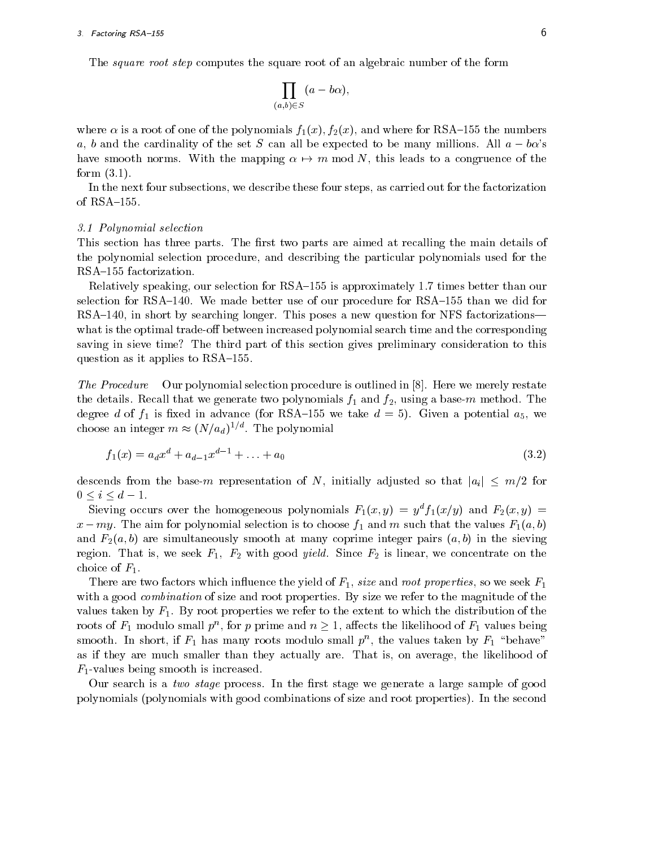The *square root step* computes the square root of an algebraic number of the form

$$
\prod_{(a,b)\in S}(a-b\alpha),
$$

where  $\alpha$  is a root of one of the polynomials  $f_1(x), f_2(x)$ , and where for RSA-155 the numbers a, b and the cardinality of the set S can all be expected to be many millions. All  $a - b\alpha$ 's have smooth norms. With the mapping  $\alpha \mapsto m \mod N$ , this leads to a congruence of the form (3.1).

In the next four subsections, we describe these four steps, as carried out for the factorization of RSA-155.

#### 3.1 Polynomial selection

This section has three parts. The first two parts are aimed at recalling the main details of the polynomial selection procedure, and describing the particular polynomials used for the RSA-155 factorization.

Relatively speaking, our selection for RSA-155 is approximately 1.7 times better than our selection for RSA $-140$ . We made better use of our procedure for RSA $-155$  than we did for RSA-140, in short by searching longer. This poses a new question for NFS factorizations what is the optimal trade-off between increased polynomial search time and the corresponding saving in sieve time? The third part of this section gives preliminary consideration to this question as it applies to  $RSA-155$ .

The Procedure Our polynomial selection procedure is outlined in [8]. Here we merely restate the details recall that we generate that we generate two polynomials fields for  $d=1$  and f2, using a base-m method. The method  $d=1$ degree din advance din advance (for RSA{155 we take din advanced  $\sim$  5). Given a potential assumptions and we take  $\sim$ choose an integer  $m \approx (N/a_d)^{-\gamma}$ . The polynomial

$$
f_1(x) = a_d x^d + a_{d-1} x^{d-1} + \dots + a_0 \tag{3.2}
$$

descends from the base-m representation of N, initially adjusted so that  $|a_i| \leq m/2$  for  $0 \le i \le d - 1$ .

Sieving occurs over the homogeneous polynomials  $F_1(x, y) = y^d f_1(x/y)$  and  $F_2(x, y) = y^d f_2(x/y)$  $\omega$  my. The aim for polynomial selection is to choose  $f_1$  and m such that the values  $\mathbf{f}_1(\omega, \nu)$ and  $F_2(a, b)$  are simultaneously smooth at many coprime integer pairs  $(a, b)$  in the sieving region. That is, we seek F1; F2 with good yield. Since F2 is linear, we concentrate on the choice of  $F_1$ .

There are two factors which influence the yield of  $F_1$ , size and root properties, so we seek  $F_1$ with a good *combination* of size and root properties. By size we refer to the magnitude of the values taken by  $F_1$ . By root properties we refer to the extent to which the distribution of the roots of  $F_1$  modulo small  $p^{\alpha}$ , for p prime and  $n \geq 1$ , allects the likelihood of  $F_1$  values being smooth. In short, if  $F_1$  has many roots modulo small  $p^+$ , the values taken by  $F_1$  "behave" as if they are much smaller than they actually are. That is, on average, the likelihood of  $F_1$ -values being smooth is increased.

Our search is a two stage process. In the first stage we generate a large sample of good polynomials (polynomials with good combinations of size and root properties). In the second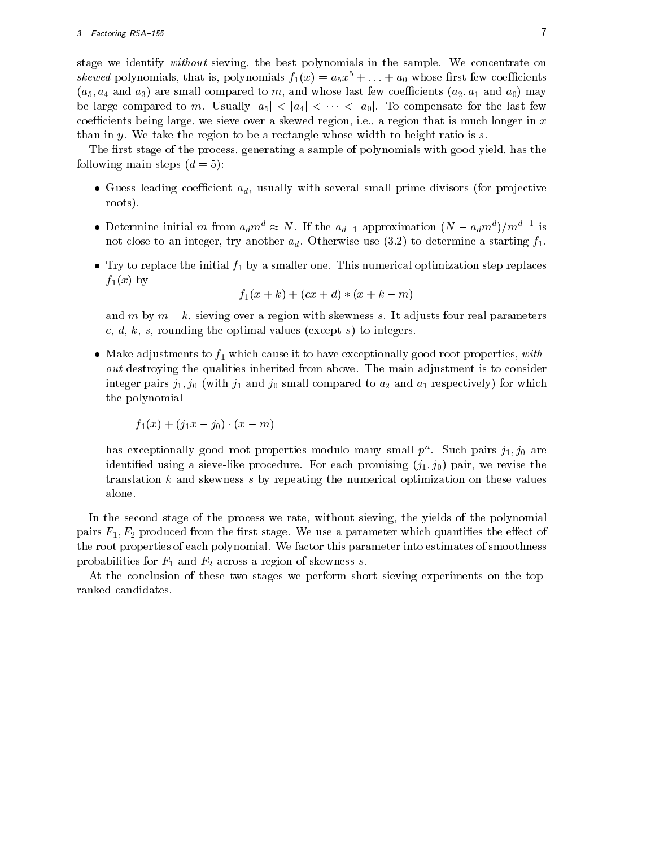stage we identify *without* sieving, the best polynomials in the sample. We concentrate on skewed polynomials, that is, polynomials  $f_1(x) = a_5x^2 + \ldots + a_0$  whose first few coefficients  $(w_0, w_4$  and  $w_0$ ) are small compared to m, and whose last few coefficients  $(w_2, w_1$  and  $w_0$ ) may be large compared to m. Usually  $|a_5| < |a_4| < \cdots < |a_0|$ . To compensate for the last few coefficients being large, we sieve over a skewed region, i.e., a region that is much longer in  $x$ than in y. We take the region to be a rectangle whose width-to-height ratio is  $s$ .

The first stage of the process, generating a sample of polynomials with good yield, has the following main steps  $(d = 5)$ :

- Guess leading coefficient  $a_d$ , usually with several small prime divisors (for projective roots).
- Determine initial m from  $a_d m \approx N$ . If the  $a_{d-1}$  approximation  $(N a_d m \gamma) / m \gamma$  is not close to an integer, try another  $a_d$ . Otherwise use (3.2) to determine a starting  $f_1$ .
- Try to replace the initial f1 by a smaller one. This numerical optimization step replaces  $f_1(x)$  by

$$
f_1(x + k) + (cx + d) * (x + k - m)
$$

and m by  $m - k$ , sieving over a region with skewness s. It adjusts four real parameters  $c, d, k, s$ , rounding the optimal values (except s) to integers.

 Make adjustments to f1 which cause it to have exceptionally good root properties, without destroying the qualities inherited from above. The main adjustment is to consider  $\max$  and  $\max$  j1; j0 (with j1 and j0 small compared to a<sub>2</sub> and a<sub>1</sub> respectively) for which the polynomial

$$
f_1(x)+(j_1x-j_0)\cdot(x-m)
$$

has exceptionally good root properties modulo many small  $p^+$ . Such pairs  $j_1, j_0$  are identified using a sieve-like procedure. For each promising  $(j_1, j_0)$  pair, we revise the translation <sup>k</sup> and skewness <sup>s</sup> by repeating the numerical optimization on these values alone.

In the second stage of the process we rate, without sieving, the yields of the polynomial pairs F1; F2 produced from the rst stage. We use a parameter which quanties the eect of the root properties of each polynomial. We factor this parameter into estimates of smoothness probabilities for F1 and F2 across a region of skewness s.

At the conclusion of these two stages we perform short sieving experiments on the topranked candidates.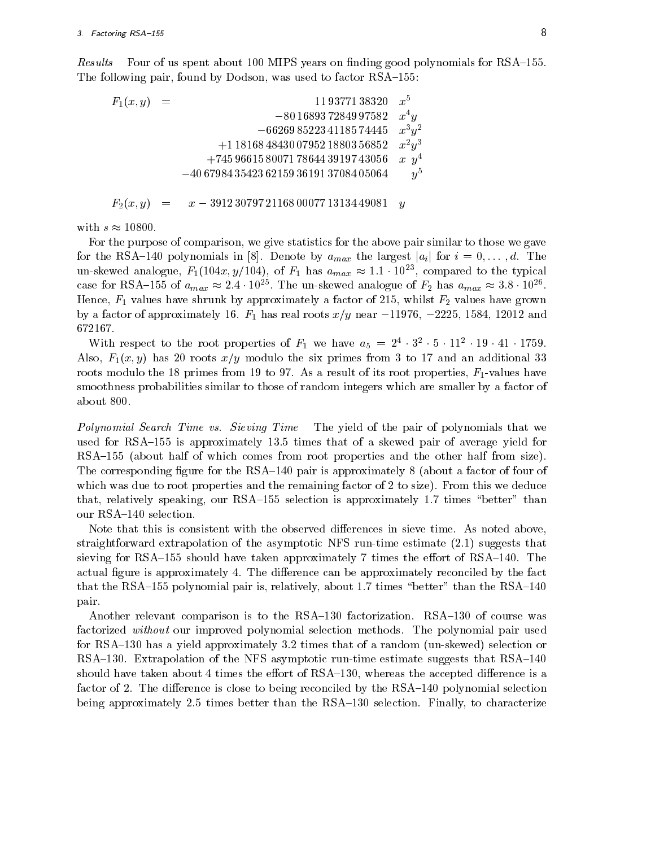Results Four of us spent about 100 MIPS years on finding good polynomials for RSA-155. The following pair, found by Dodson, was used to factor RSA-155:

 $F_1(x, y) = 11\,93771\,38320 \quad x^5$  $-80\,16893\,72849\,97582\quad x^4y$  $-66269852234118574445 \quad x^3y^2$  $+1$  18168 48430 07952 18803 56852  $x^2y^3$  $+7459661580071786443919743056 \quad x \ \ y^4$  $-40\,67984\,35423\,62159\,36191\,37084\,05064 \qquad y^5$ 

 $F_2(x, y) = x - 39123079721168000771313449081 y$ 

with  $s \approx 10800$ .

For the purpose of comparison, we give statistics for the above pair similar to those we gave for the RSA-140 polynomials in [8]. Denote by  $a_{max}$  the largest  $|a_i|$  for  $i = 0, \ldots, d$ . The un-skewed analogue,  $F_1(104x, y/104)$ , of  $F_1$  has  $a_{max} \approx 1.1 \cdot 10^{-3}$ , compared to the typical case for KSA-155 of  $a_{max} \approx$  2.4  $\cdot$  10<sup>-</sup> . The un-skewed analogue of  $r_2$  has  $a_{max} \approx$  3.8  $\cdot$  10<sup>-</sup> . Hence, F1 values have shrunk by approximately a factor of 215, whilst F2 values have grown by a factor of approximately into a proximately  $\eta$  field  $\eta$  near  $1$ 672167.

With respect to the root properties of  $F_1$  we have  $a_5 = 2 \cdot 3 \cdot 3 \cdot 11 \cdot 19 \cdot 41 \cdot 1799$ . Also,  $F_1(x, y)$  has 20 roots  $x/y$  modulo the six primes from 3 to 17 and an additional 33 roots modulo the 18 primes from 19 to 97. As a result of its root properties,  $F_1$ -values have smoothness probabilities similar to those of random integers which are smaller by a factor of about 800.

Polynomial Search Time vs. Sieving Time The yield of the pair of polynomials that we used for RSA $-155$  is approximately 13.5 times that of a skewed pair of average yield for RSA-155 (about half of which comes from root properties and the other half from size). The corresponding figure for the RSA $-140$  pair is approximately 8 (about a factor of four of which was due to root properties and the remaining factor of 2 to size). From this we deduce that, relatively speaking, our RSA $-155$  selection is approximately 1.7 times "better" than our RSA-140 selection.

Note that this is consistent with the observed differences in sieve time. As noted above, straightforward extrapolation of the asymptotic NFS run-time estimate (2.1) suggests that sieving for RSA $-155$  should have taken approximately 7 times the effort of RSA $-140$ . The actual figure is approximately 4. The difference can be approximately reconciled by the fact that the RSA $-155$  polynomial pair is, relatively, about 1.7 times "better" than the RSA $-140$ pair.

Another relevant comparison is to the RSA $-130$  factorization. RSA $-130$  of course was factorized without our improved polynomial selection methods. The polynomial pair used for RSA $-130$  has a yield approximately 3.2 times that of a random (un-skewed) selection or RSA $-130$ . Extrapolation of the NFS asymptotic run-time estimate suggests that RSA $-140$ should have taken about 4 times the effort of  $\text{RSA}-130$ , whereas the accepted difference is a factor of 2. The difference is close to being reconciled by the  $RSA-140$  polynomial selection being approximately 2.5 times better than the  $RSA-130$  selection. Finally, to characterize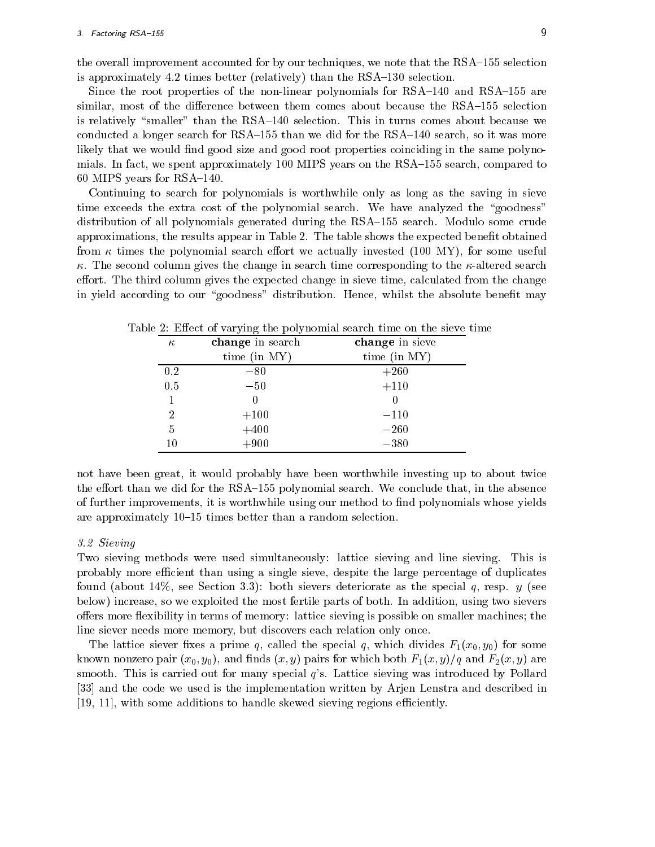the overall improvement accounted for by our techniques, we note that the RSA-155 selection is approximately 4.2 times better (relatively) than the  $RSA-130$  selection.

Since the root properties of the non-linear polynomials for  $RSA-140$  and  $RSA-155$  are similar, most of the difference between them comes about because the RSA-155 selection is relatively "smaller" than the  $\text{RSA}-140$  selection. This in turns comes about because we conducted a longer search for  $RSA-155$  than we did for the  $RSA-140$  search, so it was more likely that we would find good size and good root properties coinciding in the same polynomials. In fact, we spent approximately 100 MIPS years on the RSA-155 search, compared to 60 MIPS years for  $RSA-140$ .

Continuing to search for polynomials is worthwhile only as long as the saving in sieve time exceeds the extra cost of the polynomial search. We have analyzed the "goodness" distribution of all polynomials generated during the RSA-155 search. Modulo some crude approximations, the results appear in Table 2. The table shows the expected benet obtained from  $\kappa$  times the polynomial search effort we actually invested (100 MY), for some useful  $\kappa$ . The second column gives the change in search time corresponding to the  $\kappa$ -altered search effort. The third column gives the expected change in sieve time, calculated from the change in yield according to our "goodness" distribution. Hence, whilst the absolute benefit may

| $\kappa$ | change in search | change in sieve |
|----------|------------------|-----------------|
|          | time (in $MY$ )  | time (in MY)    |
| 0.2      | $-80$            | $+260$          |
| 0.5      | $-50$            | $+110$          |
| 1        |                  |                 |
| 2        | $+100$           | $-110$          |
| 5        | $+400$           | $-260$          |
| 10       | $+900$           | $-380$          |

Table 2: Effect of varying the polynomial search time on the sieve time

not have been great, it would probably have been worthwhile investing up to about twice the effort than we did for the  $\text{RSA}-155$  polynomial search. We conclude that, in the absence of further improvements, it is worthwhile using our method to find polynomials whose yields are approximately 10-15 times better than a random selection.

#### 3.2 Sieving

Two sieving methods were used simultaneously: lattice sieving and line sieving. This is probably more efficient than using a single sieve, despite the large percentage of duplicates found (about  $14\%$ , see Section 3.3): both sievers deteriorate as the special q, resp. y (see below) increase, so we exploited the most fertile parts of both. In addition, using two sievers offers more flexibility in terms of memory: lattice sieving is possible on smaller machines; the line siever needs more memory, but discovers each relation only once.

The lattice siever fixes a prime q, called the special q, which divides  $F_1(x_0, y_0)$  for some known nonzero pair  $(x_0, y_0)$ , and finds  $(x, y)$  pairs for which both  $F_1(x, y)/q$  and  $F_2(x, y)$  are smooth. This is carried out for many special <sup>q</sup>'s. Lattice sieving was introduced by Pollard [33] and the code we used is the implementation written by Arjen Lenstra and described in  $[19, 11]$ , with some additions to handle skewed sieving regions efficiently.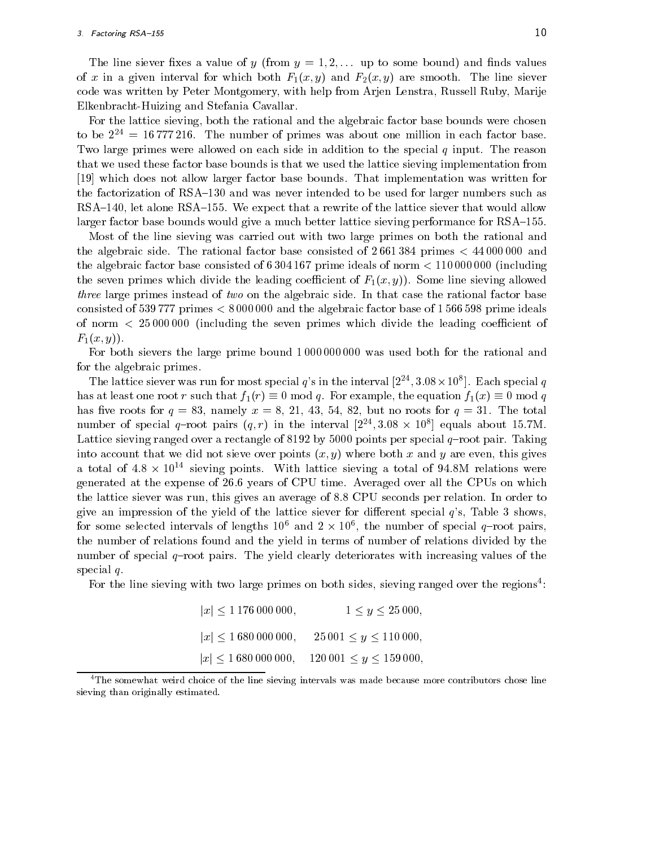The line siever fixes a value of y (from  $y = 1, 2, \ldots$  up to some bound) and finds values of x in a given interval for which both  $F_1(x, y)$  and  $F_2(x, y)$  are smooth. The line siever code was written by Peter Montgomery, with help from Arjen Lenstra, Russell Ruby, Marije Elkenbracht-Huizing and Stefania Cavallar.

For the lattice sieving, both the rational and the algebraic factor base bounds were chosen to be  $2^{24} = 16777216$ . The number of primes was about one million in each factor base. Two large primes were allowed on each side in addition to the special  $q$  input. The reason that we used these factor base bounds is that we used the lattice sieving implementation from [19] which does not allow larger factor base bounds. That implementation was written for the factorization of RSA-130 and was never intended to be used for larger numbers such as  $RSA-140$ , let alone RSA $-155$ . We expect that a rewrite of the lattice siever that would allow larger factor base bounds would give a much better lattice sieving performance for RSA-155.

Most of the line sieving was carried out with two large primes on both the rational and the algebraic side. The rational factor base consisted of 2 661 384 primes <sup>&</sup>lt; 44 000 000 and the algebraic factor base consisted of 6 304 167 prime ideals of norm <sup>&</sup>lt; 110 000 000 (including the seven primes which divide the leading coefficient of  $F_1(x, y)$ . Some line sieving allowed three large primes instead of two on the algebraic side. In that case the rational factor base consisted of 539 777 primes <sup>&</sup>lt; 8 000 000 and the algebraic factor base of 1 566 598 prime ideals of norm  $\langle 25000000 \rangle$  (including the seven primes which divide the leading coefficient of  $F_1(x, y)$ .

For both sievers the large prime bound 1 000 000 000 was used both for the rational and for the algebraic primes.

The lattice siever was run for most special q's in the interval  $[2^{24}, 3.08 \times 10^8]$ . Each special q has at least one root r such that  $f_1(r) \equiv 0 \mod q$ . For example, the equation  $f_1(x) \equiv 0 \mod q$ has five roots for  $q = 83$ , namely  $x = 8, 21, 43, 54, 82$ , but no roots for  $q = 31$ . The total number of special  $q$ -root pairs  $(q, r)$  in the interval  $[2^-, 3.08] \times [10^6]$  equals about 15.7M. Lattice sieving ranged over a rectangle of 8192 by 5000 points per special  $q$ -root pair. Taking into account that we did not sieve over points  $(x, y)$  where both x and y are even, this gives a total of 4.8  $\times$  10^^ sieving points. With lattice sieving a total of 94.8M relations were generated at the expense of 26.6 years of CPU time. Averaged over all the CPUs on which the lattice siever was run, this gives an average of 8.8 CPU seconds per relation. In order to give an impression of the yield of the lattice siever for different special  $q$ 's, Table 3 shows, for some selected intervals of lengths  $10^{\circ}$  and  $2 \times 10^{\circ}$ , the number of special  $q$ -root pairs, the number of relations found and the yield in terms of number of relations divided by the number of special  $q$ -root pairs. The yield clearly deteriorates with increasing values of the special q.

For the line sieving with two large primes on both sides, sieving ranged over the regions<sup>4</sup>:

| $ x $ < 1 176 000 000, | $1 \leq y \leq 25000$ ,                                         |
|------------------------|-----------------------------------------------------------------|
|                        | $ x $ < 1 680 000 000, 25 001 $\leq y \leq 110$ 000,            |
|                        | $ x  \leq 1680\,000\,000, \quad 120\,001 \leq y \leq 159\,000,$ |

<sup>4</sup>The somewhat weird choice of the line sieving intervals was made because more contributors chose line sieving than originally estimated.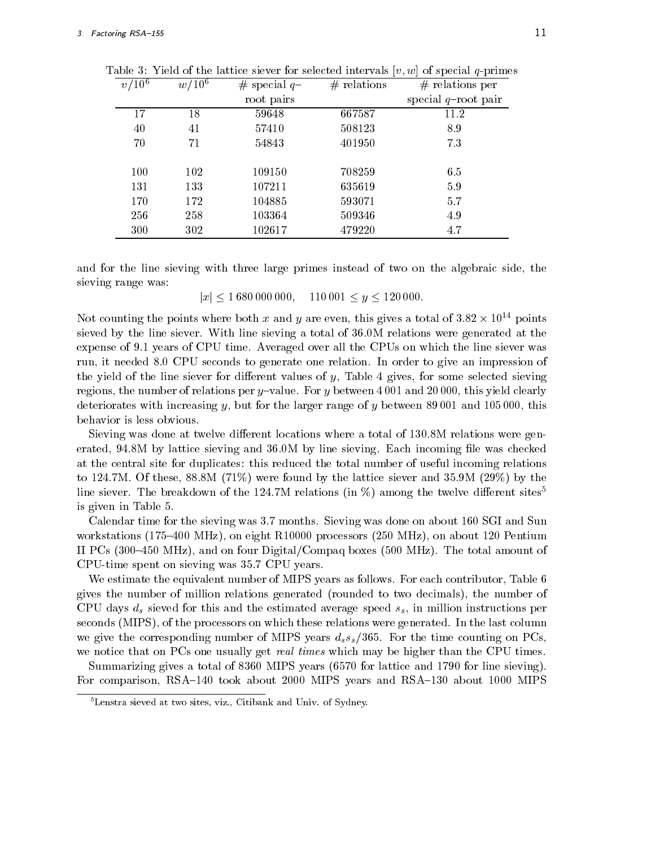| $v/10^{\circ}$ | $w/10^{\circ}$ | $#$ special $q-$ | $#$ relations | $#$ relations per      |
|----------------|----------------|------------------|---------------|------------------------|
|                |                | root pairs       |               | special $q$ -root pair |
| 17             | 18             | 59648            | 667587        | 11.2                   |
| 40             | 41             | 57410            | 508123        | 8.9                    |
| 70             | 71             | 54843            | 401950        | 7.3                    |
|                |                |                  |               |                        |
| 100            | 102            | 109150           | 708259        | 6.5                    |
| 131            | 133            | 107211           | 635619        | 5.9                    |
| 170            | 172            | 104885           | 593071        | 5.7                    |
| 256            | 258            | 103364           | 509346        | 4.9                    |
| 300            | 302            | 102617           | 479220        | 4.7                    |

Table 3: Yield of the lattice siever for selected intervals  $[v, w]$  of special q-primes

and for the line sieving with three large primes instead of two on the algebraic side, the sieving range was:

Not counting the points where both x and y are even, this gives a total of  $3.82 \times 10^{14}$  points sieved by the line siever. With line sieving a total of 36.0M relations were generated at the expense of 9.1 years of CPU time. Averaged over all the CPUs on which the line siever was run, it needed 8:0 CPU seconds to generate one relation. In order to give an impression of the yield of the line siever for different values of  $y$ , Table 4 gives, for some selected sieving regions, the number of relations per y-value. For y between 4 001 and 20 000, this yield clearly deteriorates with increasing y, but for the larger range of y between  $89\,001$  and  $105\,000$ , this behavior is less obvious.

Sieving was done at twelve different locations where a total of 130.8M relations were generated, 94.8M by lattice sieving and 36.0M by line sieving. Each incoming file was checked at the central site for duplicates: this reduced the total number of useful incoming relations to 124.7M. Of these, 88.8M (71%) were found by the lattice siever and 35.9M (29%) by the line siever. The breakdown of the 124.7M relations (in  $\%$ ) among the twelve different sites<sup>5</sup> is given in Table 5.

Calendar time for the sieving was 3.7 months. Sieving was done on about 160 SGI and Sun workstations (175-400 MHz), on eight R10000 processors (250 MHz), on about 120 Pentium II PCs (300–450 MHz), and on four Digital/Compaq boxes (500 MHz). The total amount of CPU-time spent on sieving was 35.7 CPU years.

We estimate the equivalent number of MIPS years as follows. For each contributor, Table 6 gives the number of million relations generated (rounded to two decimals), the number of CPU days  $d_s$  sieved for this and the estimated average speed  $s_s$ , in million instructions per seconds (MIPS), of the processors on which these relations were generated. In the last column we give the corresponding number of MIPS years  $d_s s_s/365$ . For the time counting on PCs, we notice that on PCs one usually get *real times* which may be higher than the CPU times.

Summarizing gives a total of 8360 MIPS years (6570 for lattice and 1790 for line sieving). For comparison, RSA-140 took about 2000 MIPS years and RSA-130 about 1000 MIPS

<sup>5</sup>Lenstra sieved at two sites, viz., Citibank and Univ. of Sydney.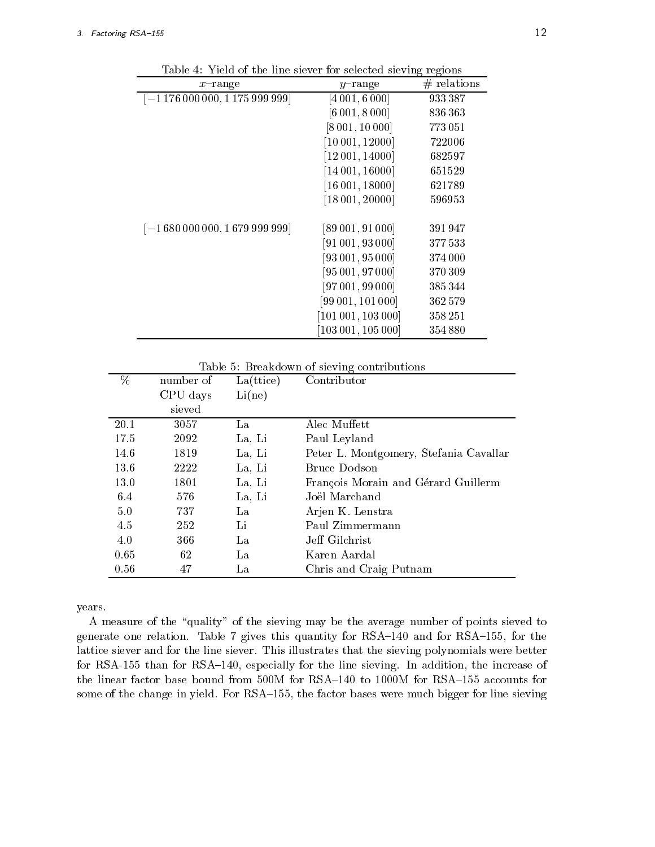| $x$ -range                          | $y$ -range              | $#$ relations |
|-------------------------------------|-------------------------|---------------|
| $[-1176\,000\,000, 1175\,999\,999]$ | [4001, 6000]            | 933387        |
|                                     | [6 001, 8 000]          | 836363        |
|                                     | [8 001, 10 000]         | 773051        |
|                                     | [10001, 12000]          | 722006        |
|                                     | $[12\,001, 14000]$      | 682597        |
|                                     | $[14\,001, 16000]$      | 651529        |
|                                     | [16001, 18000]          | 621789        |
|                                     | $[18\,001, 20000]$      | 596953        |
| $[-1680000000, 1679999999]$         | [89001, 91000]          | 391947        |
|                                     | [91001, 93000]          | 377533        |
|                                     | [93001, 95000]          | 374000        |
|                                     | [95001, 97000]          | 370309        |
|                                     | [97001, 99000]          | 385344        |
|                                     | [99 001, 101 000]       | 362579        |
|                                     | $[101\,001, 103\,000]$  | 358251        |
|                                     | $[103\,001,\,105\,000]$ | 354880        |

Table 4: Yield of the line siever for selected sieving regions

Table 5: Breakdown of sieving contributions

| $\overline{\%}$ | number of | La(ttice) | Contributor                            |
|-----------------|-----------|-----------|----------------------------------------|
|                 | CPU days  | Li(ne)    |                                        |
|                 | sieved    |           |                                        |
| 20.1            | 3057      | La        | Alec Muffett                           |
| 17.5            | 2092      | La, Li    | Paul Leyland                           |
| 14.6            | 1819      | La, Li    | Peter L. Montgomery, Stefania Cavallar |
| 13.6            | 2222      | La, Li    | Bruce Dodson                           |
| 13.0            | 1801      | La, Li    | François Morain and Gérard Guillerm    |
| 6.4             | 576       | La, Li    | Joël Marchand                          |
| 5.0             | 737       | La        | Arjen K. Lenstra                       |
| 4.5             | 252       | Li        | Paul Zimmermann                        |
| 4.0             | 366       | La        | Jeff Gilchrist                         |
| 0.65            | 62        | La        | Karen Aardal                           |
| 0.56            | 47        | La        | Chris and Craig Putnam                 |

years.

A measure of the "quality" of the sieving may be the average number of points sieved to generate one relation. Table 7 gives this quantity for  $RSA-140$  and for  $RSA-155$ , for the lattice siever and for the line siever. This illustrates that the sieving polynomials were better for RSA-155 than for RSA-140, especially for the line sieving. In addition, the increase of the linear factor base bound from  $500M$  for RSA $-140$  to 1000M for RSA $-155$  accounts for some of the change in yield. For RSA-155, the factor bases were much bigger for line sieving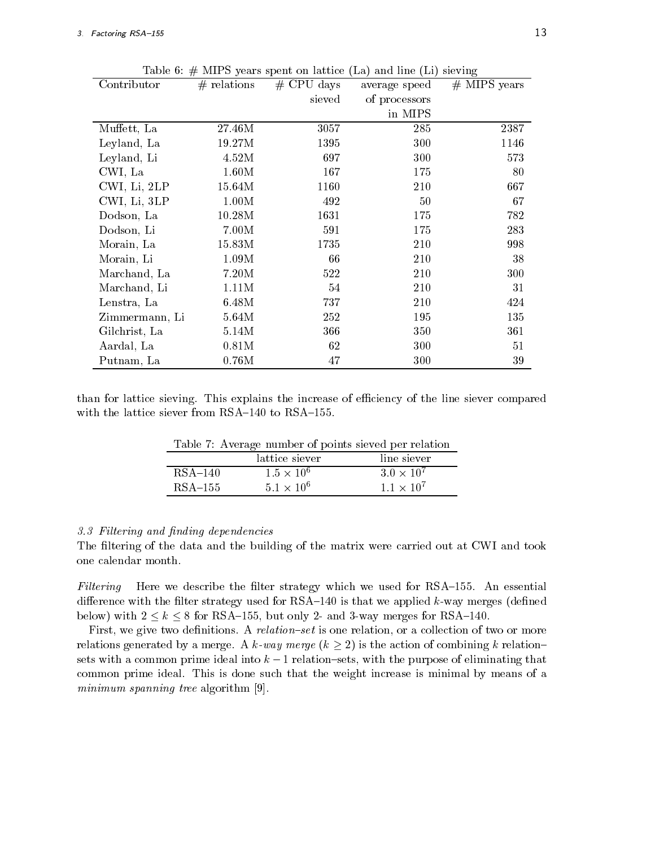| Contributor    | $#$ relations | $#$ CPU days | average speed | $#$ MIPS years |
|----------------|---------------|--------------|---------------|----------------|
|                |               | sieved       | of processors |                |
|                |               |              | in MIPS       |                |
| Muffett, La    | 27.46M        | 3057         | 285           | 2387           |
| Leyland, La    | 19.27M        | 1395         | 300           | 1146           |
| Leyland, Li    | 4.52M         | 697          | 300           | 573            |
| CWI, La        | 1.60M         | 167          | 175           | 80             |
| CWI, Li, 2LP   | 15.64M        | 1160         | 210           | 667            |
| CWI, Li, 3LP   | 1.00M         | 492          | 50            | 67             |
| Dodson, La     | 10.28M        | 1631         | 175           | 782            |
| Dodson, Li     | 7.00M         | 591          | 175           | 283            |
| Morain, La     | 15.83M        | 1735         | 210           | 998            |
| Morain, Li     | 1.09M         | 66           | 210           | 38             |
| Marchand, La   | 7.20M         | 522          | 210           | 300            |
| Marchand, Li   | 1.11M         | 54           | 210           | 31             |
| Lenstra, La    | 6.48M         | 737          | 210           | 424            |
| Zimmermann, Li | 5.64M         | 252          | 195           | 135            |
| Gilchrist, La  | 5.14M         | 366          | 350           | 361            |
| Aardal, La     | 0.81M         | 62           | 300           | 51             |
| Putnam, La     | 0.76M         | 47           | 300           | 39             |

Table 6:  $#$  MIPS years spent on lattice (La) and line (Li) sieving

than for lattice sieving. This explains the increase of efficiency of the line siever compared with the lattice siever from  $RSA-140$  to  $RSA-155$ .

|           |                     | Table <i>t</i> : Average number of points sieved per relation |
|-----------|---------------------|---------------------------------------------------------------|
|           | lattice siever      | line siever                                                   |
| $RSA-140$ | $1.5 \times 10^{6}$ | $3.0 \times 10^7$                                             |
| $RSA-155$ | $5.1 \times 10^{6}$ | $1.1 \times 10^{7}$                                           |

 $m+1$   $n \neq k$  $\mathbf{r}$ f nointe cioyod non roleti

## 3.3 Filtering and nding dependencies

The filtering of the data and the building of the matrix were carried out at CWI and took one calendar month.

Filtering Here we describe the filter strategy which we used for RSA $-155$ . An essential difference with the filter strategy used for  $RSA-140$  is that we applied k-way merges (defined below) with  $2 \le k \le 8$  for RSA-155, but only 2- and 3-way merges for RSA-140.

First, we give two definitions. A relation-set is one relation, or a collection of two or more relations generated by a merge. A k-way merge  $(k \geq 2)$  is the action of combining k relationsets with a common prime ideal into  $k - 1$  relation-sets, with the purpose of eliminating that common prime ideal. This is done such that the weight increase is minimal by means of a minimum spanning tree algorithm [9].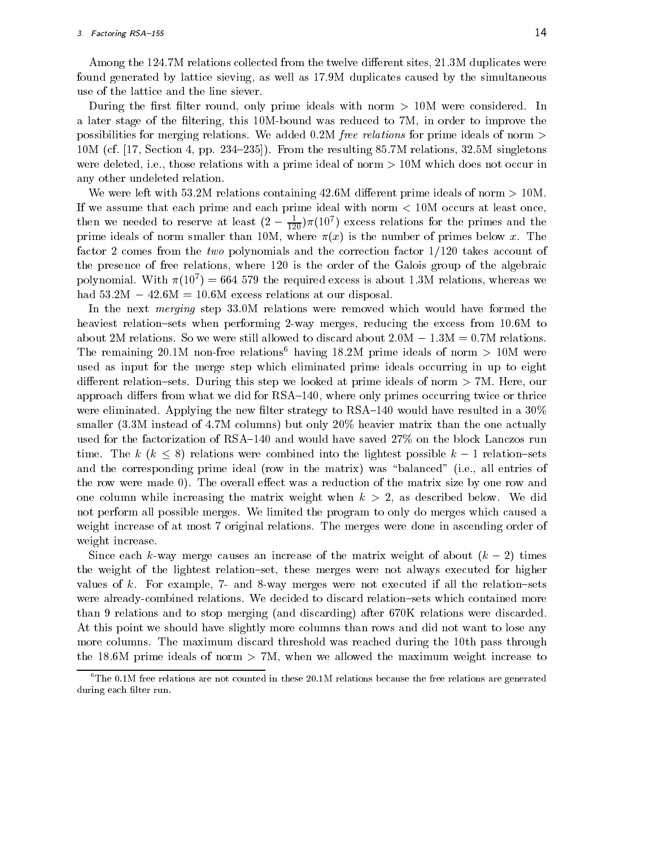Among the 124.7M relations collected from the twelve different sites, 21.3M duplicates were found generated by lattice sieving, as well as 17.9M duplicates caused by the simultaneous use of the lattice and the line siever.

During the first filter round, only prime ideals with norm  $> 10M$  were considered. In a later stage of the filtering, this 10M-bound was reduced to 7M, in order to improve the possibilities for merging relations. We added 0.2M free relations for prime ideals of norm <sup>&</sup>gt;  $10M$  (cf. [17, Section 4, pp. 234–235]). From the resulting 85.7M relations, 32.5M singletons were deleted, i.e., those relations with a prime ideal of norm <sup>&</sup>gt; 10M which does not occur in any other undeleted relation.

We were left with 53.2M relations containing 42.6M different prime ideals of norm  $> 10$ M. If we assume that each prime and each prime ideal with norm <sup>&</sup>lt; 10M occurs at least once, then we needed to reserve at least  $(2 - \frac{1}{120})\pi(10^\circ)$  excess relations for the primes and the prime ideals of norm smaller than 10M, where (x) is the number of primes below x. The factor 2 comes from the two polynomials and the correction factor  $1/120$  takes account of the presence of free relations, where 120 is the order of the Galois group of the algebraic polynomial. With  $\pi(10^{\circ}) = 004$  379 the required excess is about 1.3M relations, whereas we had  $53.2M - 42.6M = 10.6M$  excess relations at our disposal.

In the next *merging* step 33.0M relations were removed which would have formed the heaviest relation-sets when performing 2-way merges, reducing the excess from 10.6M to about 2M relations. So we were still allowed to discard about  $2.0M - 1.3M = 0.7M$  relations. The remaining 20.1M non-free relations<sup>6</sup> having 18.2M prime ideals of norm  $> 10M$  were used as input for the merge step which eliminated prime ideals occurring in up to eight different relation-sets. During this step we looked at prime ideals of norm  $> 7M$ . Here, our approach differs from what we did for RSA-140, where only primes occurring twice or thrice were eliminated. Applying the new filter strategy to  $RSA-140$  would have resulted in a  $30\%$ smaller  $(3.3M)$  instead of 4.7M columns) but only  $20\%$  heavier matrix than the one actually used for the factorization of  $RSA-140$  and would have saved  $27\%$  on the block Lanczos run time. The k  $(k \leq 8)$  relations were combined into the lightest possible  $k-1$  relation-sets and the corresponding prime ideal (row in the matrix) was "balanced" (i.e., all entries of the row were made 0). The overall effect was a reduction of the matrix size by one row and one column while increasing the matrix weight when  $k > 2$ , as described below. We did not perform all possible merges. We limited the program to only do merges which caused a weight increase of at most 7 original relations. The merges were done in ascending order of weight increase.

Since each k-way merge causes an increase of the matrix weight of about  $(k-2)$  times the weight of the lightest relation-set, these merges were not always executed for higher values of k. For example,  $7-$  and 8-way merges were not executed if all the relation-sets were already-combined relations. We decided to discard relation-sets which contained more than 9 relations and to stop merging (and discarding) after 670K relations were discarded. At this point we should have slightly more columns than rows and did not want to lose any more columns. The maximum discard threshold was reached during the 10th pass through the 18.6M prime ideals of norm  $> 7M$ , when we allowed the maximum weight increase to

 $6$ The 0.1M free relations are not counted in these 20.1M relations because the free relations are generated during each filter run.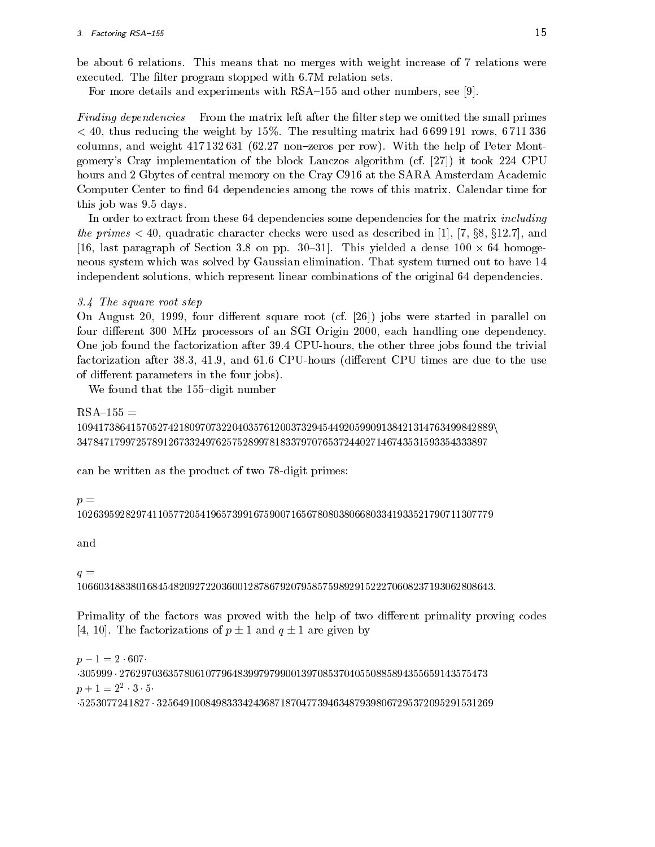be about 6 relations. This means that no merges with weight increase of 7 relations were executed. The filter program stopped with 6.7M relation sets.

For more details and experiments with  $RSA-155$  and other numbers, see [9].

Finding dependencies From the matrix left after the filter step we omitted the small primes  $<$  40, thus reducing the weight by 15%. The resulting matrix had 6 699 191 rows, 6 711 336 columns, and weight  $417132631$  (62.27 non-zeros per row). With the help of Peter Montgomery's Cray implementation of the block Lanczos algorithm (cf. [27]) it took 224 CPU hours and 2 Gbytes of central memory on the Cray C916 at the SARA Amsterdam Academic Computer Center to find 64 dependencies among the rows of this matrix. Calendar time for this job was 9.5 days.

In order to extract from these 64 dependencies some dependencies for the matrix including the primes  $\leq 40$ , quadratic character checks were used as described in [1], [7, §8, §12.7], and [16, last paragraph of Section 3.8 on pp. 30{31]. This yielded a dense 100 - 64 homogeneous system which was solved by Gaussian elimination. That system turned out to have 14 independent solutions, which represent linear combinations of the original 64 dependencies.

3.4 The square root step

On August 20, 1999, four different square root  $(cf. [26])$  jobs were started in parallel on four different 300 MHz processors of an SGI Origin 2000, each handling one dependency. One job found the factorization after 39.4 CPU-hours, the other three jobs found the trivial factorization after 38.3, 41.9, and 61.6 CPU-hours (different CPU times are due to the use of different parameters in the four jobs).

We found that the  $155$ -digit number

```
RSA-155 =109417386415705274218097073220403576120037329454492059909138421314763499842889n
34784717997257891267332497625752899781833797076537244027146743531593354333897
```
can be written as the product of two 78-digit primes:

# $p =$

<sup>102639592829741105772054196573991675900716567808038066803341933521790711307779</sup>

and

# $q =$

106603488380168454820927220360012878679207958575989291522270608237193062808643:

Primality of the factors was proved with the help of two different primality proving codes [4, 10]. The factorizations of  $p \pm 1$  and  $q \pm 1$  are given by

 $p-1=2 \cdot 607$  $305999 \cdot 276297036357806107796483997979900139708537040550885894355659143575473$  $p + 1 = 2$  3 5 5253077241827 <sup>325649100849833342436871870477394634879398067295372095291531269</sup>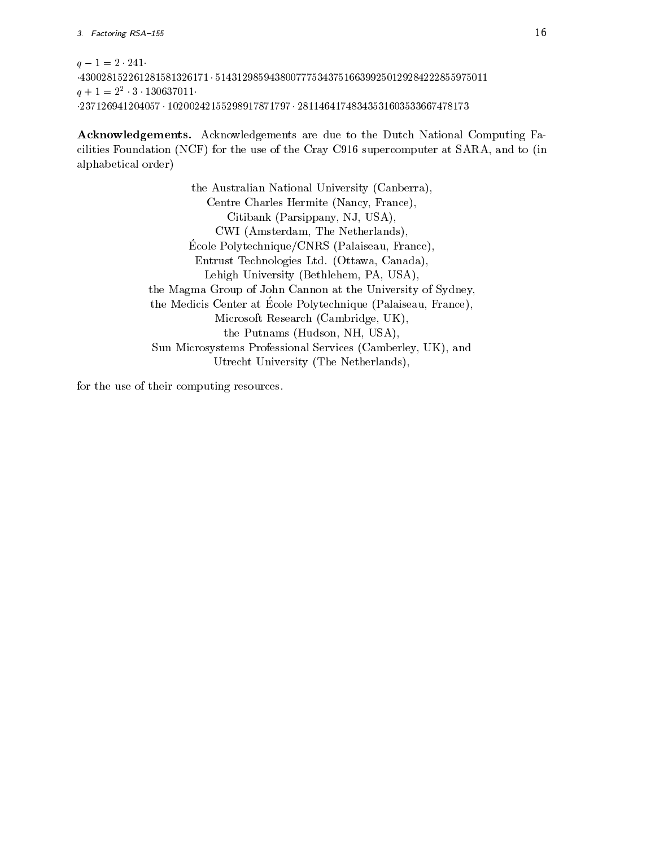```
q - 1 = 2 \cdot 241430028152261281581326171  514312985943800777534375166399250129284222855975011
q + 1 = 2 3 130037011
237126941204057  10200242155298917871797  28114641748343531603533667478173
```
Acknowledgements. Acknowledgements are due to the Dutch National Computing Facilities Foundation (NCF) for the use of the Cray C916 supercomputer at SARA, and to (in alphabetical order)

> the Australian National University (Canberra), Centre Charles Hermite (Nancy, France), Citibank (Parsippany, NJ, USA), CWI (Amsterdam, The Netherlands), Ecole P olytechnique/CNRS (Palaiseau, France), Entrust Technologies Ltd. (Ottawa, Canada), Lehigh University (Bethlehem, PA, USA), the Magma Group of John Cannon at the University of Sydney, the Medicis Center at Ecole P olytechnique (Palaiseau, France), Microsoft Research (Cambridge, UK), the Putnams (Hudson, NH, USA), Sun Microsystems Professional Services (Camberley, UK), and Utrecht University (The Netherlands),

for the use of their computing resources.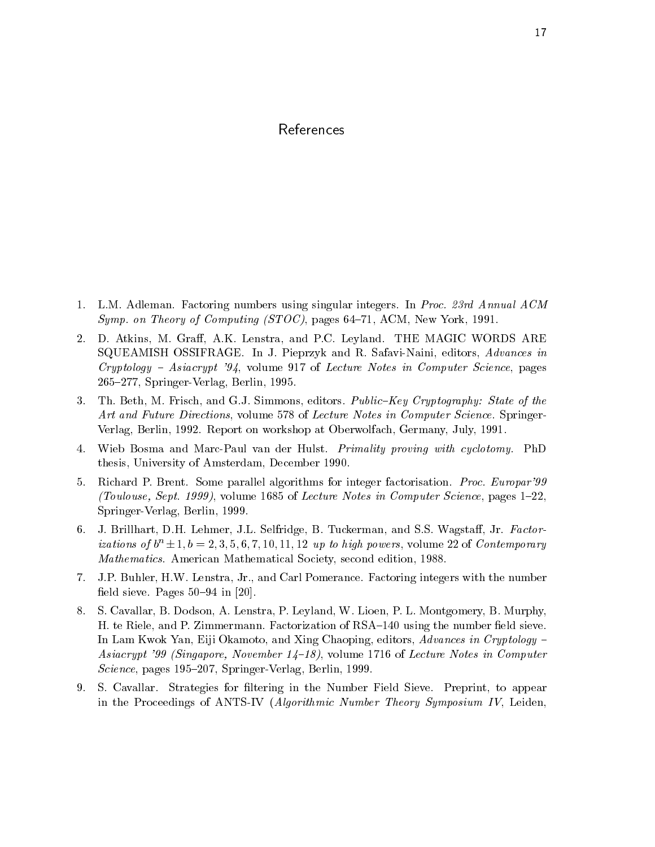# References

- 1. L.M. Adleman. Factoring numbers using singular integers. In Proc. 23rd Annual ACM Symp. on Theory of Computing (STOC), pages 64-71, ACM, New York, 1991.
- 2. D. Atkins, M. Graff, A.K. Lenstra, and P.C. Leyland. THE MAGIC WORDS ARE SQUEAMISH OSSIFRAGE. In J. Pieprzyk and R. Safavi-Naini, editors, Advances in  $Cryptography - Asiacrypt 34$ , volume 917 of Lecture Notes in Computer Science, pages 265{277, Springer-Verlag, Berlin, 1995.
- 3. Th. Beth, M. Frisch, and G.J. Simmons, editors. Public-Key Cryptography: State of the Art and Future Directions, volume 578 of Lecture Notes in Computer Science. Springer-Verlag, Berlin, 1992. Report on workshop at Oberwolfach, Germany, July, 1991.
- 4. Wieb Bosma and Marc-Paul van der Hulst. Primality proving with cyclotomy. PhD thesis, University of Amsterdam, December 1990.
- 5. Richard P. Brent. Some parallel algorithms for integer factorisation. Proc. Europar'99 (Toulouse, Sept. 1999), volume 1685 of Lecture Notes in Computer Science, pages  $1-22$ , Springer-Verlag, Berlin, 1999.
- 6. J. Brillhart, D.H. Lehmer, J.L. Selfridge, B. Tuckerman, and S.S. Wagstaff, Jr. Factorizations of  $b^n \pm 1, b = 2, 3, 5, 6, 7, 10, 11, 12$  up to high powers, volume 22 of Contemporary Mathematics. American Mathematical Society, second edition, 1988.
- 7. J.P. Buhler, H.W. Lenstra, Jr., and Carl Pomerance. Factoring integers with the number field sieve. Pages  $50-94$  in [20].
- 8. S. Cavallar, B. Dodson, A. Lenstra, P. Leyland, W. Lioen, P. L. Montgomery, B. Murphy, H. te Riele, and P. Zimmermann. Factorization of RSA-140 using the number field sieve. In Lam Kwok Yan, Eiji Okamoto, and Xing Chaoping, editors, Advances in Cryptology  $-$ Asiacrypt '99 (Singapore, November  $1/4-18$ ), volume 1716 of Lecture Notes in Computer Science, pages 195-207, Springer-Verlag, Berlin, 1999.
- 9. S. Cavallar. Strategies for filtering in the Number Field Sieve. Preprint, to appear in the Proceedings of ANTS-IV (Algorithmic Number Theory Symposium IV, Leiden,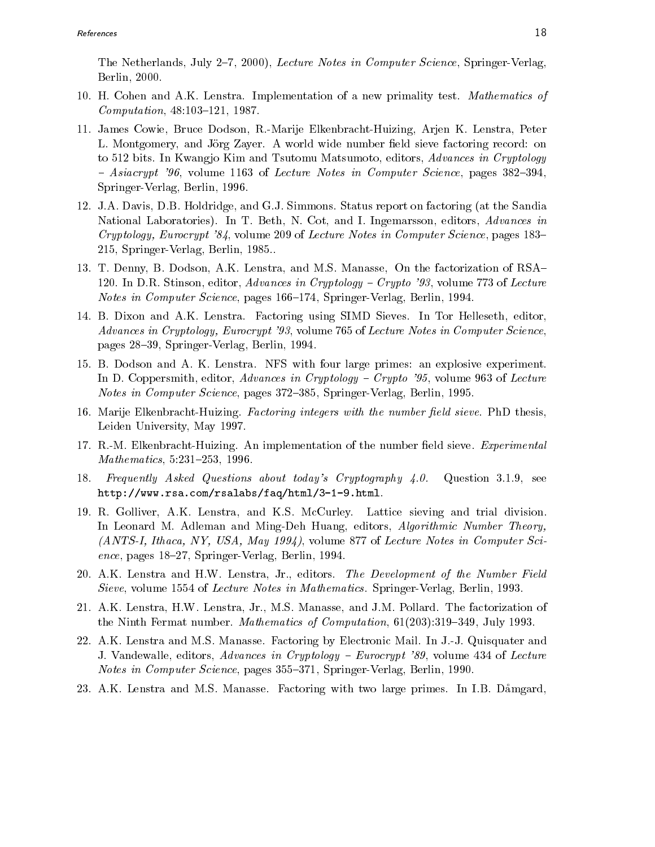The Netherlands, July 2-7, 2000), Lecture Notes in Computer Science, Springer-Verlag, Berlin, 2000.

- 10. H. Cohen and A.K. Lenstra. Implementation of a new primality test. Mathematics of  $Computation, 48:103-121, 1987.$
- 11. James Cowie, Bruce Dodson, R.-Marije Elkenbracht-Huizing, Arjen K. Lenstra, Peter L. Montgomery, and Jörg Zayer. A world wide number field sieve factoring record: on to 512 bits. In Kwangjo Kim and Tsutomu Matsumoto, editors, Advances in Cryptology  $-$  Asiacrypt '96, volume 1163 of Lecture Notes in Computer Science, pages 382–394, Springer-Verlag, Berlin, 1996.
- 12. J.A. Davis, D.B. Holdridge, and G.J. Simmons. Status report on factoring (at the Sandia National Laboratories). In T. Beth, N. Cot, and I. Ingemarsson, editors, Advances in Cryptology, Eurocrypt '84, volume 209 of Lecture Notes in Computer Science, pages 183– 215, Springer-Verlag, Berlin, 1985..
- 13. T. Denny, B. Dodson, A.K. Lenstra, and M.S. Manasse, On the factorization of RSA{ 120. In D.R. Stinson, editor, Advances in Cryptology – Crypto '93, volume 773 of Lecture Notes in Computer Science, pages 166–174, Springer-Verlag, Berlin, 1994.
- 14. B. Dixon and A.K. Lenstra. Factoring using SIMD Sieves. In Tor Helleseth, editor, Advances in Cryptology, Eurocrypt '93, volume 765 of Lecture Notes in Computer Science, pages 28{39, Springer-Verlag, Berlin, 1994.
- 15. B. Dodson and A. K. Lenstra. NFS with four large primes: an explosive experiment. In D. Coppersmith, editor, Advances in Cryptology  $-$  Crypto '95, volume 963 of Lecture Notes in Computer Science, pages 372-385, Springer-Verlag, Berlin, 1995.
- 16. Marije Elkenbracht-Huizing. Factoring integers with the number field sieve. PhD thesis, Leiden University, May 1997.
- 17. R.-M. Elkenbracht-Huizing. An implementation of the number field sieve. *Experimental*  $Mathematics, 5:231–253, 1996.$
- 18. Frequently Asked Questions about today's Cryptography 4.0. Question 3.1.9, see http://www.rsa.com/rsalabs/faq/html/3-1-9.html.
- 19. R. Golliver, A.K. Lenstra, and K.S. McCurley. Lattice sieving and trial division. In Leonard M. Adleman and Ming-Deh Huang, editors, Algorithmic Number Theory, (ANTS-I, Ithaca, NY, USA, May 1994), volume 877 of Lecture Notes in Computer Science, pages  $18-27$ , Springer-Verlag, Berlin, 1994.
- 20. A.K. Lenstra and H.W. Lenstra, Jr., editors. The Development of the Number Field Sieve, volume 1554 of Lecture Notes in Mathematics. Springer-Verlag, Berlin, 1993.
- 21. A.K. Lenstra, H.W. Lenstra, Jr., M.S. Manasse, and J.M. Pollard. The factorization of the Ninth Fermat number. *Mathematics of Computation*,  $61(203):319{-}349$ , July 1993.
- 22. A.K. Lenstra and M.S. Manasse. Factoring by Electronic Mail. In J.-J. Quisquater and J. Vandewalle, editors, Advances in Cryptology – Eurocrypt '89, volume 434 of Lecture Notes in Computer Science, pages 355-371, Springer-Verlag, Berlin, 1990.
- 23. A.K. Lenstra and M.S. Manasse. Factoring with two large primes. In I.B. Damgard,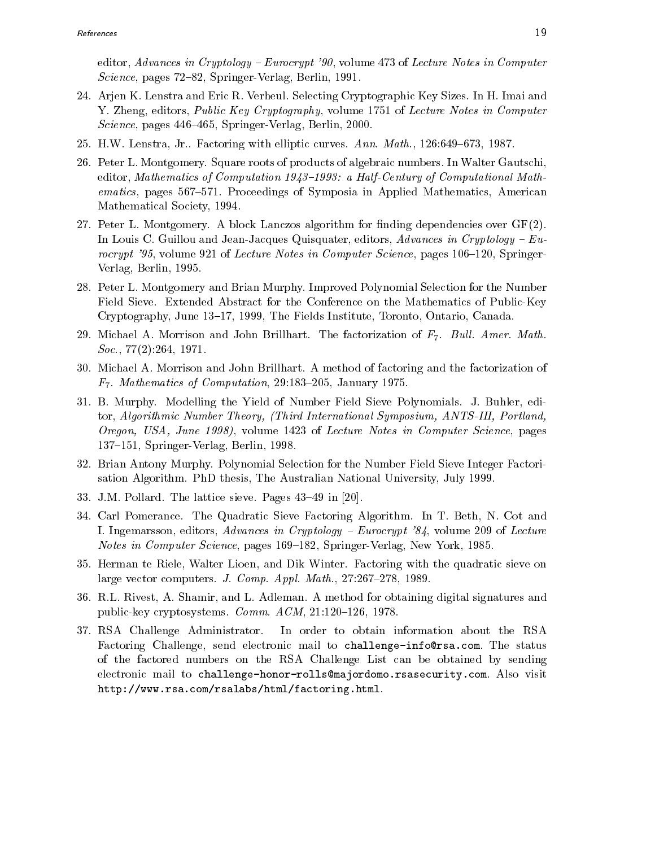editor, Advances in Cryptology – Eurocrypt '90, volume 473 of Lecture Notes in Computer  $Science$ , pages 72–82, Springer-Verlag, Berlin, 1991.

- 24. Arjen K. Lenstra and Eric R. Verheul. Selecting Cryptographic Key Sizes. In H. Imai and Y. Zheng, editors, *Public Key Cryptography*, volume 1751 of Lecture Notes in Computer Science, pages 446-465, Springer-Verlag, Berlin, 2000.
- 25. H.W. Lenstra, Jr.. Factoring with elliptic curves.  $Ann. Math., 126:649-673, 1987.$
- 26. Peter L. Montgomery. Square roots of products of algebraic numbers. In Walter Gautschi, editor, Mathematics of Computation  $1943-1993$ : a Half-Century of Computational Mathematics, pages 567–571. Proceedings of Symposia in Applied Mathematics, American Mathematical Society, 1994.
- 27. Peter L. Montgomery. A block Lanczos algorithm for finding dependencies over  $GF(2)$ . In Louis C. Guillou and Jean-Jacques Quisquater, editors, Advances in Cryptology –  $Eu$ rocrypt '95, volume 921 of Lecture Notes in Computer Science, pages  $106{-}120$ , Springer-Verlag, Berlin, 1995.
- 28. Peter L. Montgomery and Brian Murphy. Improved Polynomial Selection for the Number Field Sieve. Extended Abstract for the Conference on the Mathematics of Public-Key Cryptography, June 13{17, 1999, The Fields Institute, Toronto, Ontario, Canada.
- 29. Michael A. Morrison and John Brillhart. The factorization of  $F_7$ . Bull. Amer. Math. Soc., 77(2):264, 1971.
- 30. Michael A. Morrison and John Brillhart. A method of factoring and the factorization of  $F_7$ . Mathematics of Computation, 29:183-205, January 1975.
- 31. B. Murphy. Modelling the Yield of Number Field Sieve Polynomials. J. Buhler, editor, Algorithmic Number Theory, (Third International Symposium, ANTS-III, Portland, Oregon, USA, June 1998), volume 1423 of Lecture Notes in Computer Science, pages 137-151, Springer-Verlag, Berlin, 1998.
- 32. Brian Antony Murphy. Polynomial Selection for the Number Field Sieve Integer Factorisation Algorithm. PhD thesis, The Australian National University, July 1999.
- 33. J.M. Pollard. The lattice sieve. Pages  $43-49$  in [20].
- 34. Carl Pomerance. The Quadratic Sieve Factoring Algorithm. In T. Beth, N. Cot and I. Ingemarsson, editors,  $Advances$  in Cryptology - Eurocrypt '84, volume 209 of Lecture Notes in Computer Science, pages 169–182, Springer-Verlag, New York, 1985.
- 35. Herman te Riele, Walter Lioen, and Dik Winter. Factoring with the quadratic sieve on large vector computers. J. Comp. Appl. Math.,  $27:267{-}278$ , 1989.
- 36. R.L. Rivest, A. Shamir, and L. Adleman. A method for obtaining digital signatures and public-key cryptosystems. Comm.  $ACM$ , 21:120-126, 1978.
- 37. RSA Challenge Administrator. In order to obtain information about the RSA Factoring Challenge, send electronic mail to challenge-info@rsa.com. The status of the factored numbers on the RSA Challenge List can be obtained by sending electronic mail to challenge-honor-rolls@majordomo.rsasecurity.com. Also visit http://www.rsa.com/rsalabs/html/factoring.html.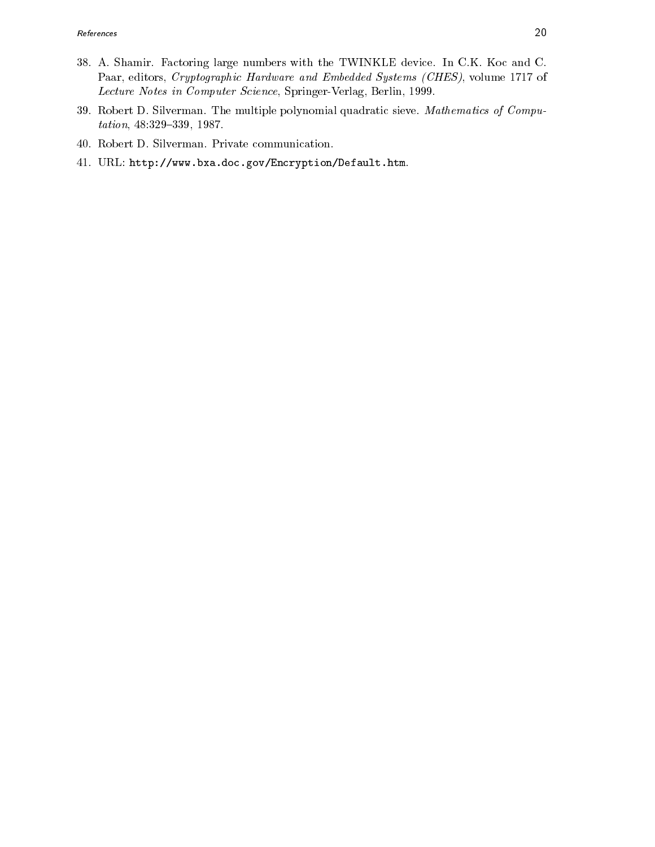- 38. A. Shamir. Factoring large numbers with the TWINKLE device. In C.K. Koc and C. Paar, editors, Cryptographic Hardware and Embedded Systems (CHES), volume 1717 of Lecture Notes in Computer Science, Springer-Verlag, Berlin, 1999.
- 39. Robert D. Silverman. The multiple polynomial quadratic sieve. Mathematics of Compu $tation, 48:329-339, 1987.$
- 40. Robert D. Silverman. Private communication.
- 41. URL: http://www.bxa.doc.gov/Encryption/Default.htm.